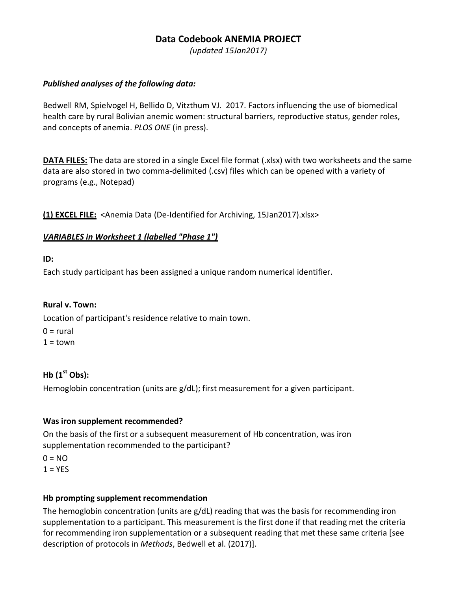# **Data Codebook ANEMIA PROJECT**

*(updated 15Jan2017)*

## *Published analyses of the following data:*

Bedwell RM, Spielvogel H, Bellido D, Vitzthum VJ. 2017. Factors influencing the use of biomedical health care by rural Bolivian anemic women: structural barriers, reproductive status, gender roles, and concepts of anemia. *PLOS ONE* (in press).

**DATA FILES:** The data are stored in a single Excel file format (.xlsx) with two worksheets and the same data are also stored in two comma-delimited (.csv) files which can be opened with a variety of programs (e.g., Notepad)

**(1) EXCEL FILE:** <Anemia Data (De-Identified for Archiving, 15Jan2017).xlsx>

# *VARIABLES in Worksheet 1 (labelled "Phase 1")*

**ID:** 

Each study participant has been assigned a unique random numerical identifier.

## **Rural v. Town:**

Location of participant's residence relative to main town.

 $0 = \text{rural}$  $1 =$ town

# **Hb (1st Obs):**

Hemoglobin concentration (units are g/dL); first measurement for a given participant.

## **Was iron supplement recommended?**

On the basis of the first or a subsequent measurement of Hb concentration, was iron supplementation recommended to the participant?

 $0 = NO$  $1 = YES$ 

## **Hb prompting supplement recommendation**

The hemoglobin concentration (units are g/dL) reading that was the basis for recommending iron supplementation to a participant. This measurement is the first done if that reading met the criteria for recommending iron supplementation or a subsequent reading that met these same criteria [see description of protocols in *Methods*, Bedwell et al. (2017)].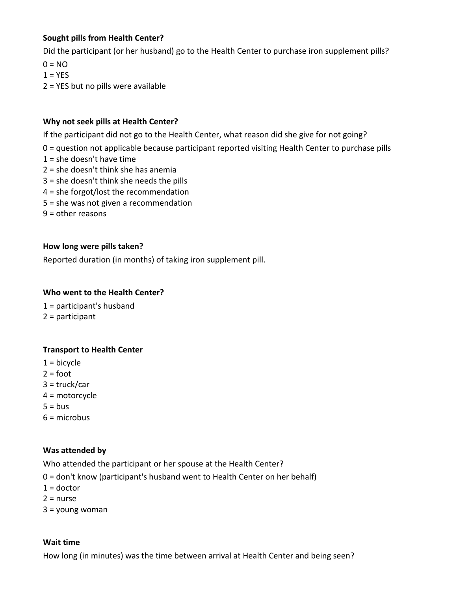## **Sought pills from Health Center?**

Did the participant (or her husband) go to the Health Center to purchase iron supplement pills?

 $0 = NO$ 

 $1 = YES$ 

2 = YES but no pills were available

#### **Why not seek pills at Health Center?**

If the participant did not go to the Health Center, what reason did she give for not going?

- 0 = question not applicable because participant reported visiting Health Center to purchase pills
- $1 =$  she doesn't have time
- 2 = she doesn't think she has anemia
- 3 = she doesn't think she needs the pills
- 4 = she forgot/lost the recommendation
- 5 = she was not given a recommendation
- $9 =$  other reasons

#### **How long were pills taken?**

Reported duration (in months) of taking iron supplement pill.

#### **Who went to the Health Center?**

1 = participant's husband 2 = participant

# **Transport to Health Center**

- $1 =$  bicycle
- $2 = foot$
- 3 = truck/car
- 4 = motorcycle
- $5 = bus$
- $6 =$  microbus

## **Was attended by**

Who attended the participant or her spouse at the Health Center?

- 0 = don't know (participant's husband went to Health Center on her behalf)
- $1 =$  doctor
- $2 =$ nurse
- 3 = young woman

#### **Wait time**

How long (in minutes) was the time between arrival at Health Center and being seen?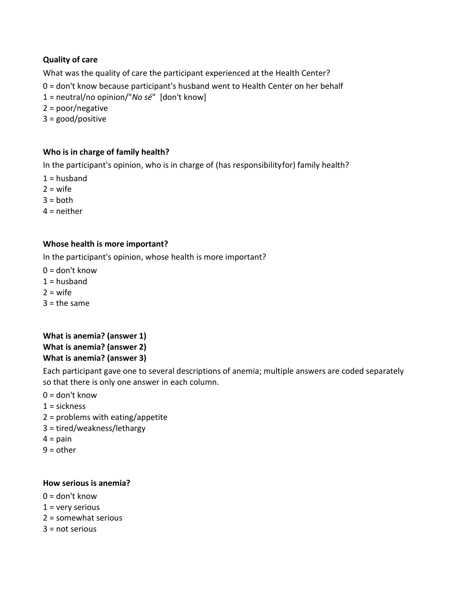# **Quality of care**

What was the quality of care the participant experienced at the Health Center?

0 = don't know because participant's husband went to Health Center on her behalf

1 = neutral/no opinion/"*No sé*" [don't know]

2 = poor/negative

3 = good/positive

## **Who is in charge of family health?**

In the participant's opinion, who is in charge of (has responsibilityfor) family health?

 $1 =$ husband

 $2 = wife$ 

 $3 = h$ oth

 $4$  = neither

## **Whose health is more important?**

In the participant's opinion, whose health is more important?

 $0 =$  don't know

- $1 =$ husband
- $2 = \text{wife}$
- $3 =$  the same

# **What is anemia? (answer 1) What is anemia? (answer 2) What is anemia? (answer 3)**

Each participant gave one to several descriptions of anemia; multiple answers are coded separately so that there is only one answer in each column.

- $0 =$  don't know
- $1 =$  sickness
- 2 = problems with eating/appetite
- 3 = tired/weakness/lethargy
- $4 = \pi$
- $9 =$  other

#### **How serious is anemia?**

- $0 =$  don't know
- $1 =$  very serious
- 2 = somewhat serious
- $3 = not$  serious